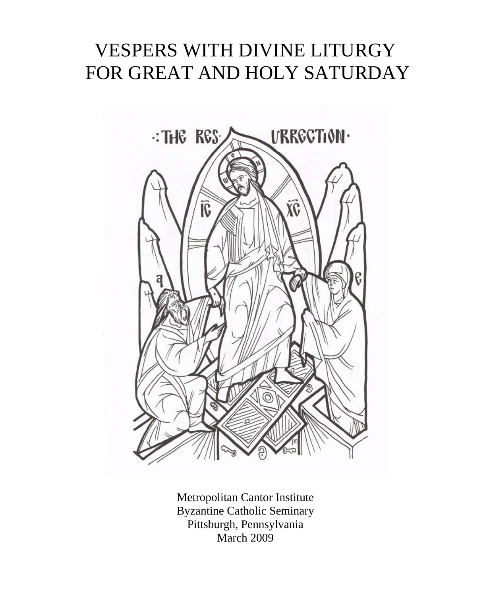# VESPERS WITH DIVINE LITURGY FOR GREAT AND HOLY SATURDAY



Metropolitan Cantor Institute Byzantine Catholic Seminary Pittsburgh, Pennsylvania March 2009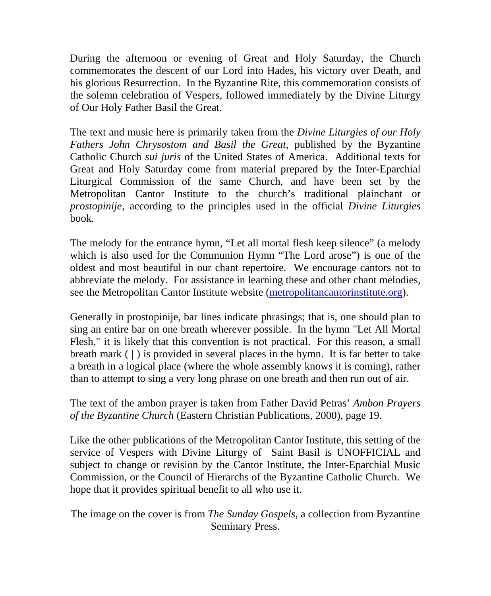During the afternoon or evening of Great and Holy Saturday, the Church commemorates the descent of our Lord into Hades, his victory over Death, and his glorious Resurrection. In the Byzantine Rite, this commemoration consists of the solemn celebration of Vespers, followed immediately by the Divine Liturgy of Our Holy Father Basil the Great.

The text and music here is primarily taken from the *Divine Liturgies of our Holy Fathers John Chrysostom and Basil the Great,* published by the Byzantine Catholic Church *sui juris* of the United States of America. Additional texts for Great and Holy Saturday come from material prepared by the Inter-Eparchial Liturgical Commission of the same Church, and have been set by the Metropolitan Cantor Institute to the church's traditional plainchant or *prostopinije,* according to the principles used in the official *Divine Liturgies* book.

The melody for the entrance hymn, "Let all mortal flesh keep silence" (a melody which is also used for the Communion Hymn "The Lord arose") is one of the oldest and most beautiful in our chant repertoire. We encourage cantors not to abbreviate the melody. For assistance in learning these and other chant melodies, see the Metropolitan Cantor Institute website (metropolitancantorinstitute.org).

Generally in prostopinije, bar lines indicate phrasings; that is, one should plan to sing an entire bar on one breath wherever possible. In the hymn "Let All Mortal Flesh," it is likely that this convention is not practical. For this reason, a small breath mark  $( )$  is provided in several places in the hymn. It is far better to take a breath in a logical place (where the whole assembly knows it is coming), rather than to attempt to sing a very long phrase on one breath and then run out of air.

The text of the ambon prayer is taken from Father David Petras' *Ambon Prayers of the Byzantine Church* (Eastern Christian Publications, 2000), page 19.

Like the other publications of the Metropolitan Cantor Institute, this setting of the service of Vespers with Divine Liturgy of Saint Basil is UNOFFICIAL and subject to change or revision by the Cantor Institute, the Inter-Eparchial Music Commission, or the Council of Hierarchs of the Byzantine Catholic Church. We hope that it provides spiritual benefit to all who use it.

The image on the cover is from *The Sunday Gospels*, a collection from Byzantine Seminary Press.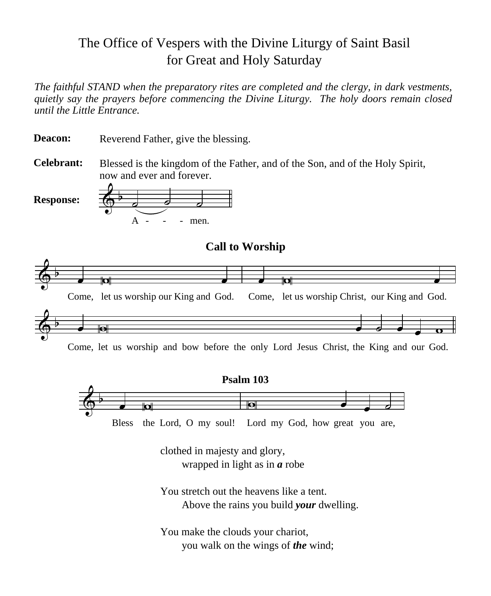# The Office of Vespers with the Divine Liturgy of Saint Basil for Great and Holy Saturday

*The faithful STAND when the preparatory rites are completed and the clergy, in dark vestments, quietly say the prayers before commencing the Divine Liturgy. The holy doors remain closed until the Little Entrance.*

Reverend Father, give the blessing. **Deacon:**

Blessed is the kingdom of the Father, and of the Son, and of the Holy Spirit, now and ever and forever. **Celebrant:**



**Call to Worship**



Come, let us worship and bow before the only Lord Jesus Christ, the King and our God.



clothed in majesty and glory, wrapped in light as in *a* robe

You stretch out the heavens like a tent. Above the rains you build *your* dwelling.

You make the clouds your chariot, you walk on the wings of *the* wind;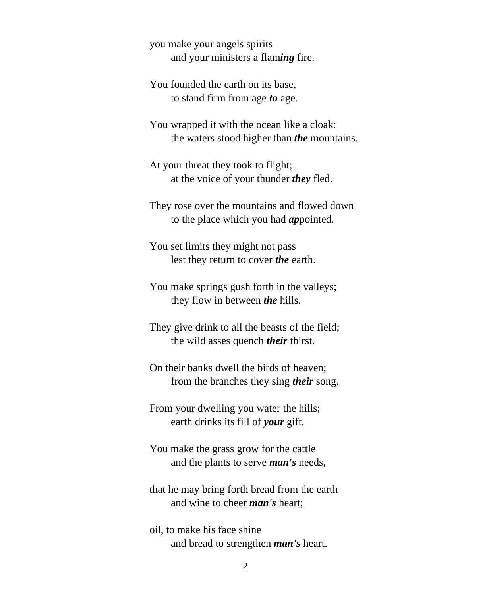you make your angels spirits and your ministers a flam*ing* fire.

You founded the earth on its base, to stand firm from age *to* age.

You wrapped it with the ocean like a cloak: the waters stood higher than *the* mountains.

At your threat they took to flight; at the voice of your thunder *they* fled.

They rose over the mountains and flowed down to the place which you had *ap*pointed.

You set limits they might not pass lest they return to cover *the* earth.

You make springs gush forth in the valleys; they flow in between *the* hills.

They give drink to all the beasts of the field; the wild asses quench *their* thirst.

On their banks dwell the birds of heaven; from the branches they sing *their* song.

From your dwelling you water the hills; earth drinks its fill of *your* gift.

You make the grass grow for the cattle and the plants to serve *man's* needs,

that he may bring forth bread from the earth and wine to cheer *man's* heart;

oil, to make his face shine and bread to strengthen *man's* heart.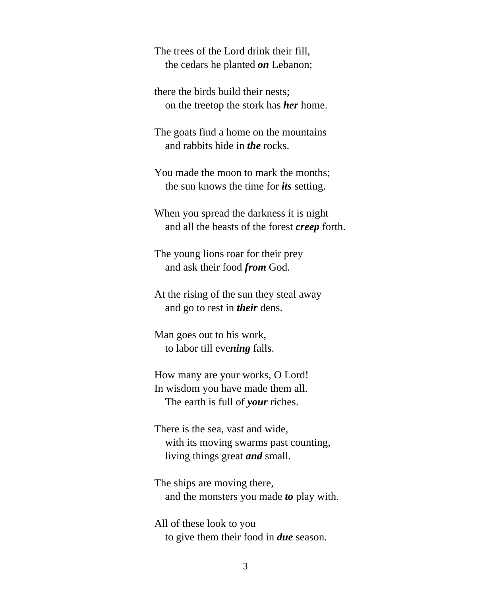The trees of the Lord drink their fill, the cedars he planted *on* Lebanon;

there the birds build their nests; on the treetop the stork has *her* home.

The goats find a home on the mountains and rabbits hide in *the* rocks.

You made the moon to mark the months; the sun knows the time for *its* setting.

When you spread the darkness it is night and all the beasts of the forest *creep* forth.

The young lions roar for their prey and ask their food *from* God.

At the rising of the sun they steal away and go to rest in *their* dens.

Man goes out to his work, to labor till eve*ning* falls.

How many are your works, O Lord! In wisdom you have made them all. The earth is full of *your* riches.

There is the sea, vast and wide, with its moving swarms past counting, living things great *and* small.

The ships are moving there, and the monsters you made *to* play with.

All of these look to you to give them their food in *due* season.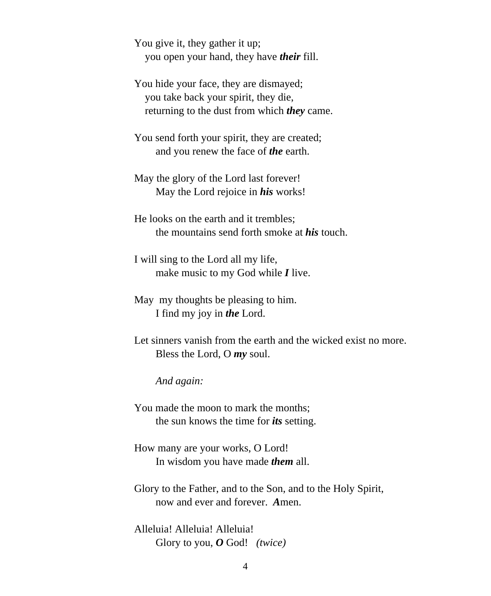You give it, they gather it up; you open your hand, they have *their* fill.

You hide your face, they are dismayed; you take back your spirit, they die, returning to the dust from which *they* came.

You send forth your spirit, they are created; and you renew the face of *the* earth.

May the glory of the Lord last forever! May the Lord rejoice in *his* works!

He looks on the earth and it trembles; the mountains send forth smoke at *his* touch.

I will sing to the Lord all my life, make music to my God while *I* live.

May my thoughts be pleasing to him. I find my joy in *the* Lord.

Let sinners vanish from the earth and the wicked exist no more. Bless the Lord, O *my* soul.

*And again:*

You made the moon to mark the months; the sun knows the time for *its* setting.

How many are your works, O Lord! In wisdom you have made *them* all.

Glory to the Father, and to the Son, and to the Holy Spirit, now and ever and forever. *A*men.

Alleluia! Alleluia! Alleluia! Glory to you, *O* God! *(twice)*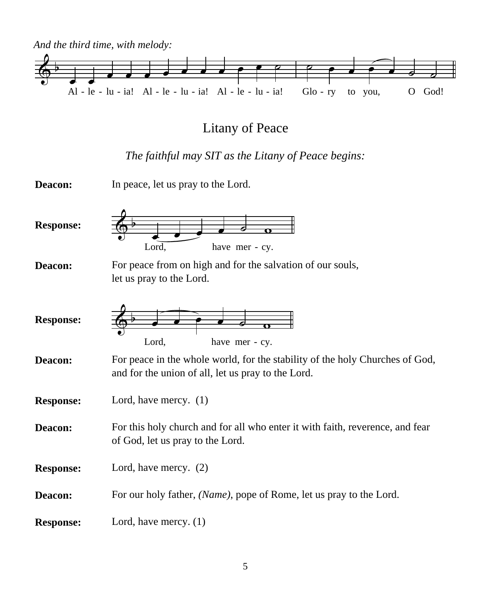

# Litany of Peace

### *The faithful may SIT as the Litany of Peace begins:*

| Deacon:          | In peace, let us pray to the Lord.                                                                                                 |
|------------------|------------------------------------------------------------------------------------------------------------------------------------|
| <b>Response:</b> | Lord,<br>have mer - cy.                                                                                                            |
| Deacon:          | For peace from on high and for the salvation of our souls,                                                                         |
|                  | let us pray to the Lord.                                                                                                           |
| <b>Response:</b> | Lord,<br>have mer - cy.                                                                                                            |
| Deacon:          | For peace in the whole world, for the stability of the holy Churches of God,<br>and for the union of all, let us pray to the Lord. |
| <b>Response:</b> | Lord, have mercy. $(1)$                                                                                                            |
| Deacon:          | For this holy church and for all who enter it with faith, reverence, and fear<br>of God, let us pray to the Lord.                  |
| <b>Response:</b> | Lord, have mercy. $(2)$                                                                                                            |
| Deacon:          | For our holy father, (Name), pope of Rome, let us pray to the Lord.                                                                |
| <b>Response:</b> | Lord, have mercy. $(1)$                                                                                                            |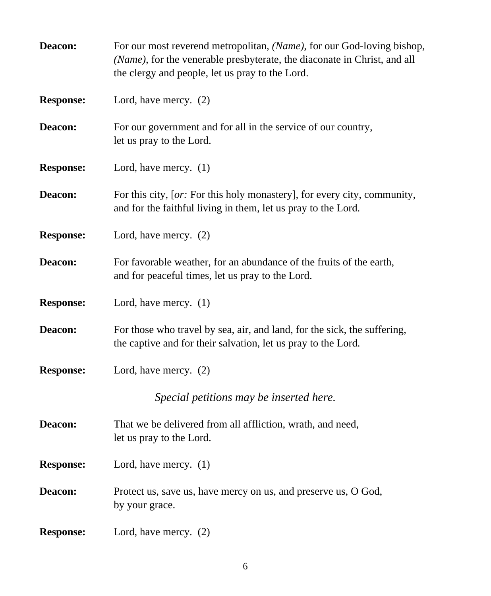| Deacon:          | For our most reverend metropolitan, (Name), for our God-loving bishop,<br>(Name), for the venerable presbyterate, the diaconate in Christ, and all<br>the clergy and people, let us pray to the Lord. |
|------------------|-------------------------------------------------------------------------------------------------------------------------------------------------------------------------------------------------------|
| <b>Response:</b> | Lord, have mercy. (2)                                                                                                                                                                                 |
| Deacon:          | For our government and for all in the service of our country,<br>let us pray to the Lord.                                                                                                             |
| <b>Response:</b> | Lord, have mercy. $(1)$                                                                                                                                                                               |
| Deacon:          | For this city, [or: For this holy monastery], for every city, community,<br>and for the faithful living in them, let us pray to the Lord.                                                             |
| <b>Response:</b> | Lord, have mercy. (2)                                                                                                                                                                                 |
| Deacon:          | For favorable weather, for an abundance of the fruits of the earth,<br>and for peaceful times, let us pray to the Lord.                                                                               |
| <b>Response:</b> | Lord, have mercy. (1)                                                                                                                                                                                 |
| Deacon:          | For those who travel by sea, air, and land, for the sick, the suffering,<br>the captive and for their salvation, let us pray to the Lord.                                                             |
| <b>Response:</b> | Lord, have mercy. (2)                                                                                                                                                                                 |
|                  | Special petitions may be inserted here.                                                                                                                                                               |
| Deacon:          | That we be delivered from all affliction, wrath, and need,<br>let us pray to the Lord.                                                                                                                |
| <b>Response:</b> | Lord, have mercy. $(1)$                                                                                                                                                                               |
| Deacon:          | Protect us, save us, have mercy on us, and preserve us, O God,<br>by your grace.                                                                                                                      |
| <b>Response:</b> | Lord, have mercy. (2)                                                                                                                                                                                 |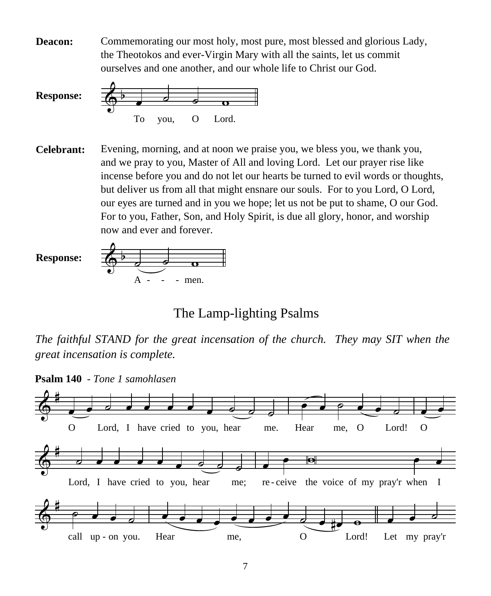**Deacon:** Commemorating our most holy, most pure, most blessed and glorious Lady, the Theotokos and ever-Virgin Mary with all the saints, let us commit ourselves and one another, and our whole life to Christ our God.



**Celebrant:** Evening, morning, and at noon we praise you, we bless you, we thank you, and we pray to you, Master of All and loving Lord. Let our prayer rise like incense before you and do not let our hearts be turned to evil words or thoughts, but deliver us from all that might ensnare our souls. For to you Lord, O Lord, our eyes are turned and in you we hope; let us not be put to shame, O our God. For to you, Father, Son, and Holy Spirit, is due all glory, honor, and worship now and ever and forever.



The Lamp-lighting Psalms

*The faithful STAND for the great incensation of the church. They may SIT when the great incensation is complete.* 



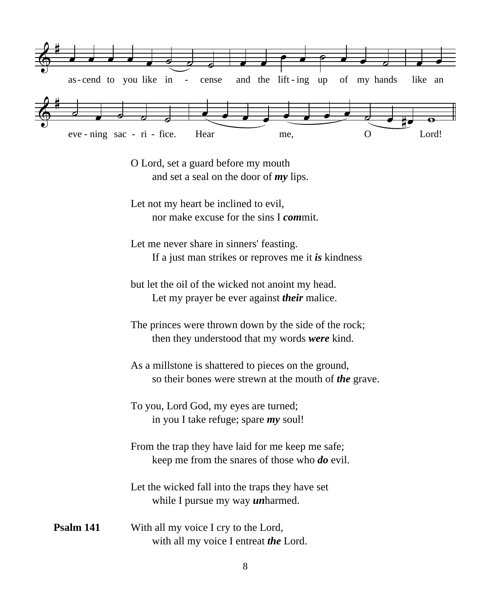

O Lord, set a guard before my mouth and set a seal on the door of *my* lips.

Let not my heart be inclined to evil, nor make excuse for the sins I *com*mit.

Let me never share in sinners' feasting. If a just man strikes or reproves me it *is* kindness

but let the oil of the wicked not anoint my head. Let my prayer be ever against *their* malice.

The princes were thrown down by the side of the rock; then they understood that my words *were* kind.

As a millstone is shattered to pieces on the ground, so their bones were strewn at the mouth of *the* grave.

To you, Lord God, my eyes are turned; in you I take refuge; spare *my* soul!

From the trap they have laid for me keep me safe; keep me from the snares of those who *do* evil.

Let the wicked fall into the traps they have set while I pursue my way *un*harmed.

With all my voice I cry to the Lord, with all my voice I entreat *the* Lord. **Psalm 141**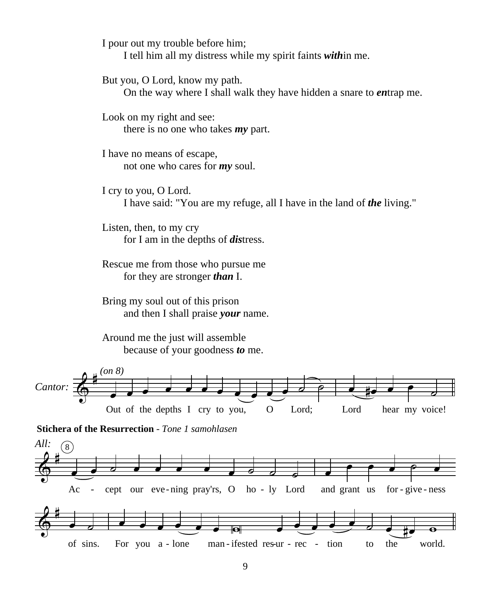I pour out my trouble before him;

I tell him all my distress while my spirit faints *with*in me.

But you, O Lord, know my path.

On the way where I shall walk they have hidden a snare to *en*trap me.

Look on my right and see: there is no one who takes *my* part.

I have no means of escape, not one who cares for *my* soul.

I cry to you, O Lord. I have said: "You are my refuge, all I have in the land of *the* living."

Listen, then, to my cry for I am in the depths of *dis*tress.

Rescue me from those who pursue me for they are stronger *than* I.

Bring my soul out of this prison and then I shall praise *your* name.

Around me the just will assemble because of your goodness *to* me.





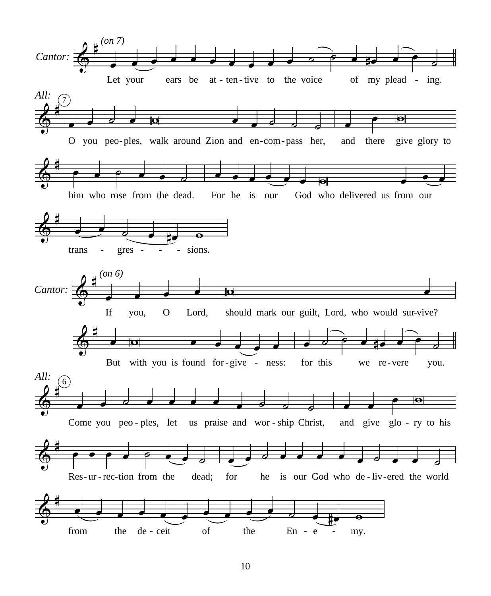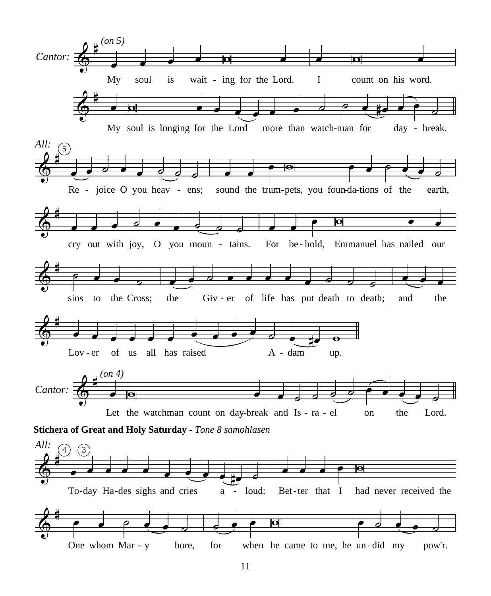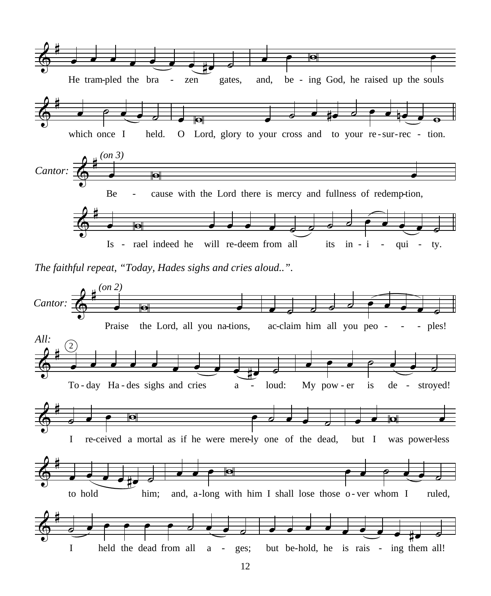

*The faithful repeat, "Today, Hades sighs and cries aloud..".*

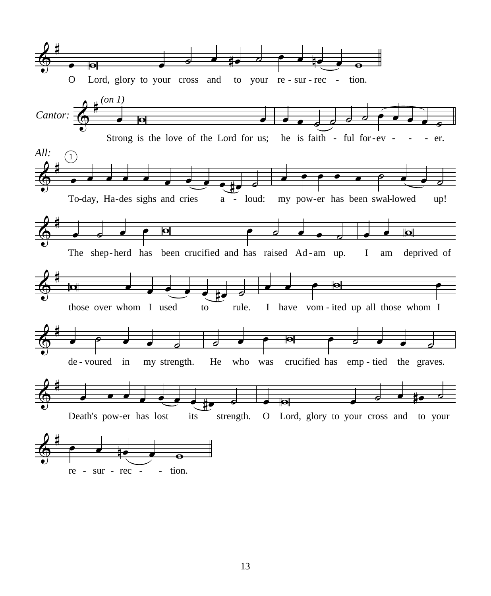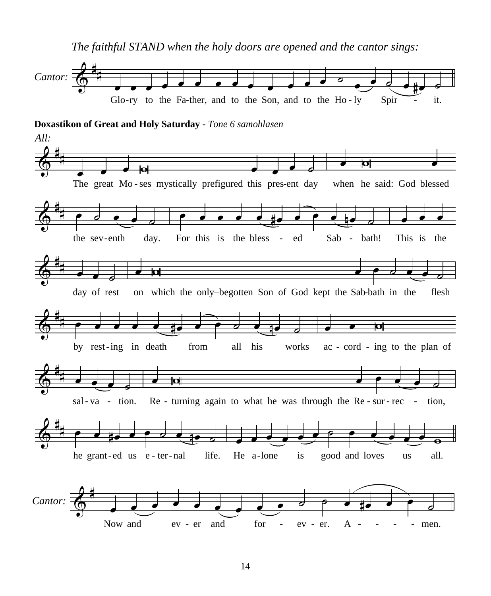*The faithful STAND when the holy doors are opened and the cantor sings:* 

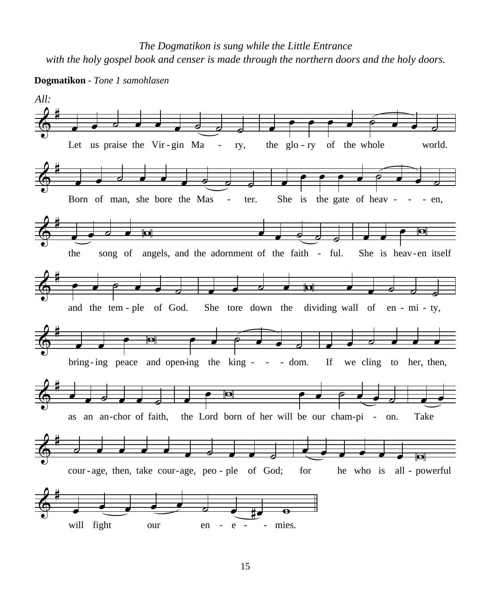*The Dogmatikon is sung while the Little Entrance with the holy gospel book and censer is made through the northern doors and the holy doors.*



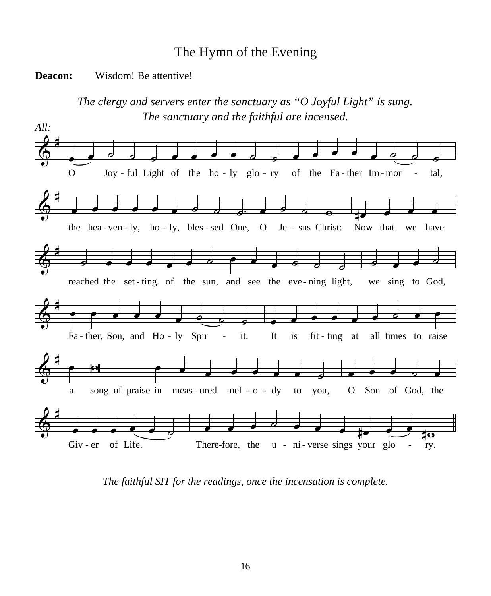### The Hymn of the Evening

#### **Deacon:** Wisdom! Be attentive!

*The clergy and servers enter the sanctuary as "O Joyful Light" is sung. The sanctuary and the faithful are incensed.*



*The faithful SIT for the readings, once the incensation is complete.*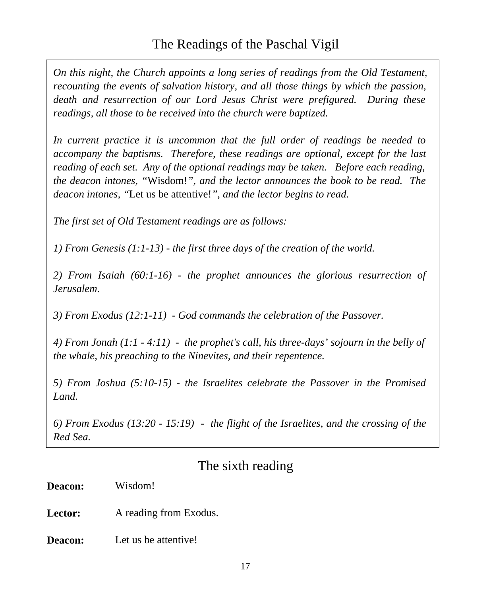*On this night, the Church appoints a long series of readings from the Old Testament, recounting the events of salvation history, and all those things by which the passion, death and resurrection of our Lord Jesus Christ were prefigured. During these readings, all those to be received into the church were baptized.*

*In current practice it is uncommon that the full order of readings be needed to accompany the baptisms. Therefore, these readings are optional, except for the last reading of each set. Any of the optional readings may be taken. Before each reading, the deacon intones, "*Wisdom!*", and the lector announces the book to be read. The deacon intones, "*Let us be attentive!*", and the lector begins to read.*

*The first set of Old Testament readings are as follows:*

*1) From Genesis (1:1-13) - the first three days of the creation of the world.*

*2) From Isaiah (60:1-16) - the prophet announces the glorious resurrection of Jerusalem.*

*3) From Exodus (12:1-11) - God commands the celebration of the Passover.*

*4) From Jonah (1:1 - 4:11) - the prophet's call, his three-days' sojourn in the belly of the whale, his preaching to the Ninevites, and their repentence.*

*5) From Joshua (5:10-15) - the Israelites celebrate the Passover in the Promised Land.*

*6) From Exodus (13:20 - 15:19) - the flight of the Israelites, and the crossing of the Red Sea.* 

### The sixth reading

**Deacon: Lector:**  Wisdom! A reading from Exodus.

**Deacon:** Let us be attentive!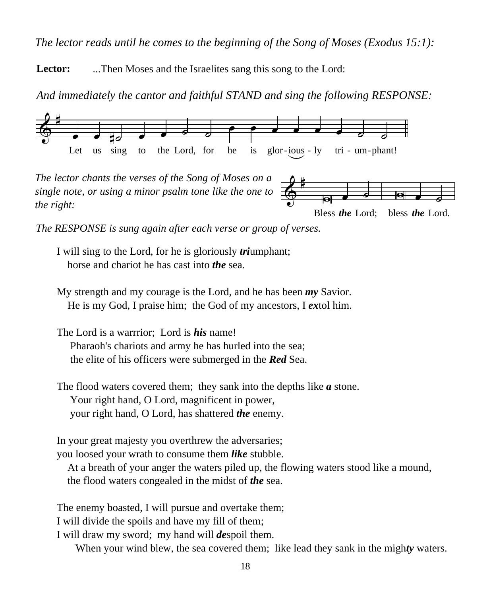*The lector reads until he comes to the beginning of the Song of Moses (Exodus 15:1):*

Lector: ...Then Moses and the Israelites sang this song to the Lord:

*And immediately the cantor and faithful STAND and sing the following RESPONSE:*



 $\frac{\partial}{\partial \varphi}$ W œ ˙ Bless *the* Lord;  $\begin{array}{|c|c|c|}\hline \multicolumn{1}{c|}{\quad \quad \quad & \quad \quad & \quad \quad & \quad \quad \\ \hline \multicolumn{1}{c|}{\quad \quad \quad & \quad \quad & \quad \quad & \quad \quad \\ \hline \multicolumn{1}{c|}{\quad \quad \quad & \quad \quad & \quad \quad & \quad \quad \\ \hline \multicolumn{1}{c|}{\quad \quad \quad & \quad \quad & \quad \quad & \quad \quad \\ \hline \multicolumn{1}{c|}{\quad \quad \quad & \quad \quad & \quad \quad & \quad \quad \\ \hline \multicolumn{1}{c|}{\quad \quad \quad & \quad \quad & \quad \quad & \quad \$ bless *the* Lord. *The lector chants the verses of the Song of Moses on a single note, or using a minor psalm tone like the one to the right:*

*The RESPONSE is sung again after each verse or group of verses.*

I will sing to the Lord, for he is gloriously *tri*umphant; horse and chariot he has cast into *the* sea.

My strength and my courage is the Lord, and he has been *my* Savior. He is my God, I praise him; the God of my ancestors, I *ex*tol him.

The Lord is a warrrior; Lord is *his* name! Pharaoh's chariots and army he has hurled into the sea; the elite of his officers were submerged in the *Red* Sea.

The flood waters covered them; they sank into the depths like *a* stone. Your right hand, O Lord, magnificent in power, your right hand, O Lord, has shattered *the* enemy.

In your great majesty you overthrew the adversaries; you loosed your wrath to consume them *like* stubble.

 At a breath of your anger the waters piled up, the flowing waters stood like a mound, the flood waters congealed in the midst of *the* sea.

The enemy boasted, I will pursue and overtake them;

I will divide the spoils and have my fill of them;

I will draw my sword; my hand will *de*spoil them.

When your wind blew, the sea covered them; like lead they sank in the migh*ty* waters.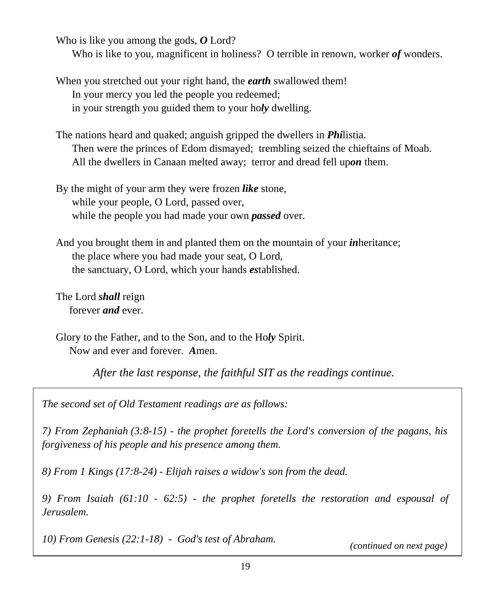Who is like you among the gods, *O* Lord?

Who is like to you, magnificent in holiness? O terrible in renown, worker *of* wonders.

- When you stretched out your right hand, the *earth* swallowed them! In your mercy you led the people you redeemed; in your strength you guided them to your ho*ly* dwelling.
- The nations heard and quaked; anguish gripped the dwellers in *Phi*listia. Then were the princes of Edom dismayed; trembling seized the chieftains of Moab. All the dwellers in Canaan melted away; terror and dread fell up*on* them.

By the might of your arm they were frozen *like* stone, while your people, O Lord, passed over, while the people you had made your own *passed* over.

And you brought them in and planted them on the mountain of your *in*heritance; the place where you had made your seat, O Lord, the sanctuary, O Lord, which your hands *es*tablished.

The Lord *shall* reign forever *and* ever.

Glory to the Father, and to the Son, and to the Ho*ly* Spirit. Now and ever and forever. *A*men.

*After the last response, the faithful SIT as the readings continue.*

*The second set of Old Testament readings are as follows:*

*7) From Zephaniah (3:8-15) - the prophet foretells the Lord's conversion of the pagans, his forgiveness of his people and his presence among them.*

*8) From 1 Kings (17:8-24) - Elijah raises a widow's son from the dead.*

*9) From Isaiah (61:10 - 62:5) - the prophet foretells the restoration and espousal of Jerusalem.*

*10) From Genesis (22:1-18) - God's test of Abraham. (continued on next page)*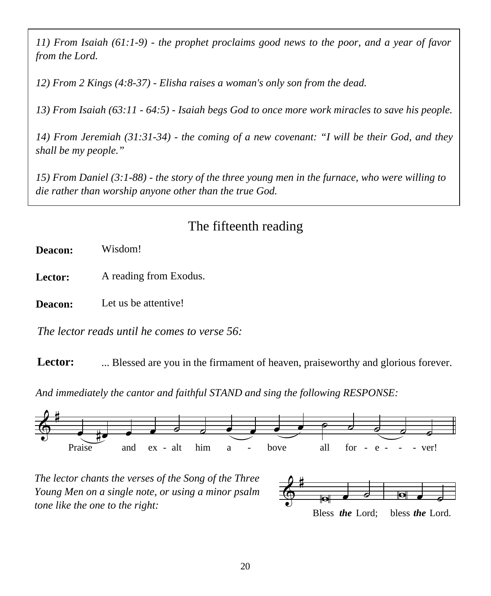*11) From Isaiah (61:1-9) - the prophet proclaims good news to the poor, and a year of favor from the Lord.*

*12) From 2 Kings (4:8-37) - Elisha raises a woman's only son from the dead.*

*13) From Isaiah (63:11 - 64:5) - Isaiah begs God to once more work miracles to save his people.*

*14) From Jeremiah (31:31-34) - the coming of a new covenant: "I will be their God, and they shall be my people."*

*15) From Daniel (3:1-88) - the story of the three young men in the furnace, who were willing to die rather than worship anyone other than the true God.*

# The fifteenth reading

**Deacon:**  Wisdom!

**Lector:**  A reading from Exodus.

**Deacon:** Let us be attentive!

*The lector reads until he comes to verse 56:*

**Lector:** ... Blessed are you in the firmament of heaven, praiseworthy and glorious forever.

*And immediately the cantor and faithful STAND and sing the following RESPONSE:*



*The lector chants the verses of the Song of the Three Young Men on a single note, or using a minor psalm tone like the one to the right:*

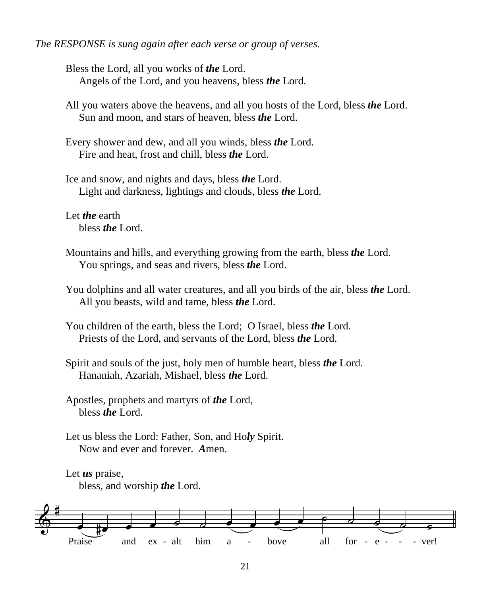#### *The RESPONSE is sung again after each verse or group of verses.*

Bless the Lord, all you works of *the* Lord. Angels of the Lord, and you heavens, bless *the* Lord.

All you waters above the heavens, and all you hosts of the Lord, bless *the* Lord. Sun and moon, and stars of heaven, bless *the* Lord.

Every shower and dew, and all you winds, bless *the* Lord. Fire and heat, frost and chill, bless *the* Lord.

Ice and snow, and nights and days, bless *the* Lord. Light and darkness, lightings and clouds, bless *the* Lord.

Let *the* earth bless *the* Lord.

Mountains and hills, and everything growing from the earth, bless *the* Lord. You springs, and seas and rivers, bless *the* Lord.

You dolphins and all water creatures, and all you birds of the air, bless *the* Lord. All you beasts, wild and tame, bless *the* Lord.

You children of the earth, bless the Lord; O Israel, bless *the* Lord. Priests of the Lord, and servants of the Lord, bless *the* Lord.

Spirit and souls of the just, holy men of humble heart, bless *the* Lord. Hananiah, Azariah, Mishael, bless *the* Lord.

Apostles, prophets and martyrs of *the* Lord, bless *the* Lord.

Let us bless the Lord: Father, Son, and Ho*ly* Spirit. Now and ever and forever. *A*men.

Let *us* praise, bless, and worship *the* Lord.

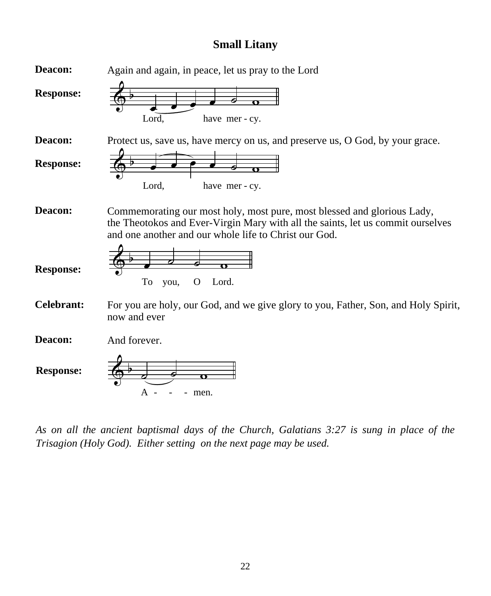#### **Small Litany**



*As on all the ancient baptismal days of the Church, Galatians 3:27 is sung in place of the Trisagion (Holy God). Either setting on the next page may be used.*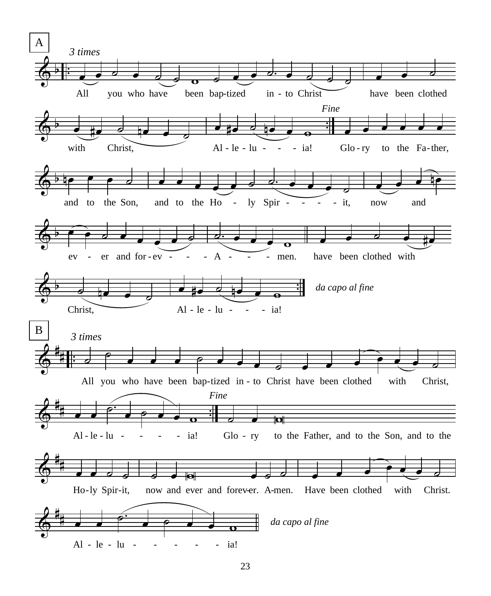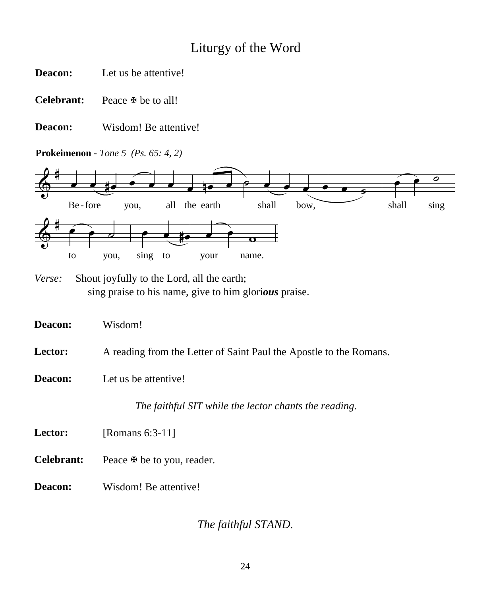# Liturgy of the Word

**Deacon:**  Let us be attentive!

**Celebrant:**  Peace **⊕** be to all!

**Deacon:**  Wisdom! Be attentive!

**Prokeimenon** *- Tone 5**(Ps. 65: 4, 2)*



*Verse:*Shout joyfully to the Lord, all the earth; sing praise to his name, give to him glori*ous* praise.

| Deacon:    | Wisdom!                                                            |
|------------|--------------------------------------------------------------------|
| Lector:    | A reading from the Letter of Saint Paul the Apostle to the Romans. |
| Deacon:    | Let us be attentive!                                               |
|            | The faithful SIT while the lector chants the reading.              |
| Lector:    | [Romans $6:3-11$ ]                                                 |
| Celebrant: | Peace $\mathfrak{B}$ be to you, reader.                            |
| Deacon:    | Wisdom! Be attentive!                                              |
|            |                                                                    |

*The faithful STAND.*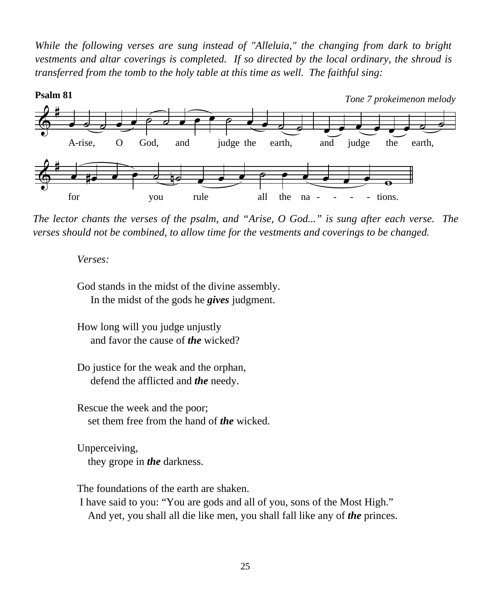*While the following verses are sung instead of "Alleluia," the changing from dark to bright vestments and altar coverings is completed. If so directed by the local ordinary, the shroud is transferred from the tomb to the holy table at this time as well. The faithful sing:*



*The lector chants the verses of the psalm, and "Arise, O God..." is sung after each verse. The verses should not be combined, to allow time for the vestments and coverings to be changed.*

*Verses:*

God stands in the midst of the divine assembly. In the midst of the gods he *gives* judgment.

How long will you judge unjustly and favor the cause of *the* wicked?

Do justice for the weak and the orphan, defend the afflicted and *the* needy.

Rescue the week and the poor; set them free from the hand of *the* wicked.

Unperceiving, they grope in *the* darkness.

The foundations of the earth are shaken.

 I have said to you: "You are gods and all of you, sons of the Most High." And yet, you shall all die like men, you shall fall like any of *the* princes.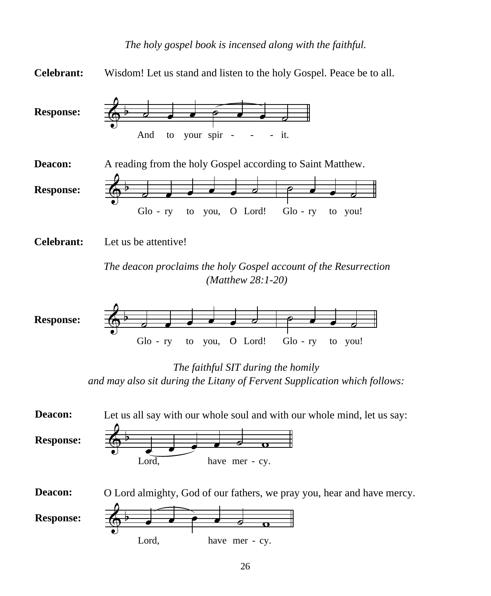

*The deacon proclaims the holy Gospel account of the Resurrection (Matthew 28:1-20)*



*The faithful SIT during the homily and may also sit during the Litany of Fervent Supplication which follows:*

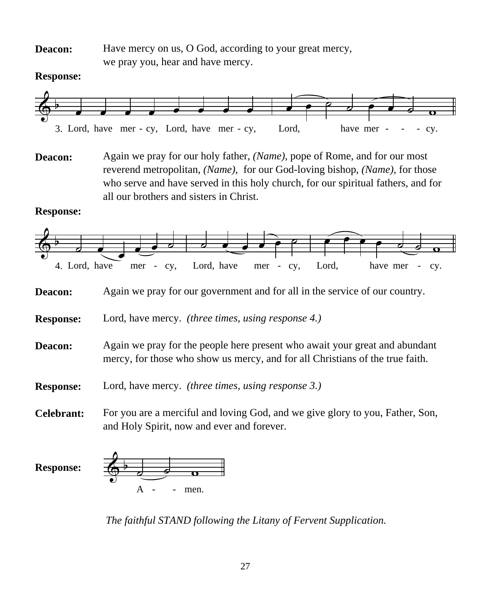**Deacon:** Have mercy on us, O God, according to your great mercy, we pray you, hear and have mercy.

#### **Response:**



**Deacon:** Again we pray for our holy father, *(Name)*, pope of Rome, and for our most reverend metropolitan, *(Name)*, for our God-loving bishop, *(Name)*, for those who serve and have served in this holy church, for our spiritual fathers, and for all our brothers and sisters in Christ.

#### **Response:**



- **Deacon:** Again we pray for the people here present who await your great and abundant mercy, for those who show us mercy, and for all Christians of the true faith.
- **Response:** Lord, have mercy. *(three times, using response 3.)*
- **Celebrant:** For you are a merciful and loving God, and we give glory to you, Father, Son, and Holy Spirit, now and ever and forever.



*The faithful STAND following the Litany of Fervent Supplication.*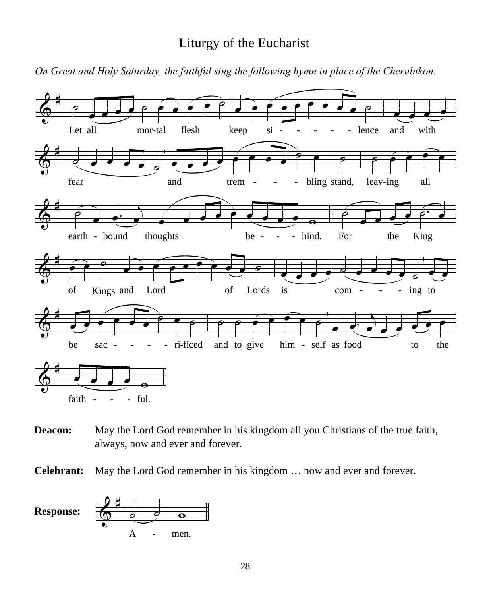### Liturgy of the Eucharist

*On Great and Holy Saturday, the faithful sing the following hymn in place of the Cherubikon.*



**Deacon:** May the Lord God remember in his kingdom all you Christians of the true faith, always, now and ever and forever.

**Celebrant:** May the Lord God remember in his kingdom … now and ever and forever.

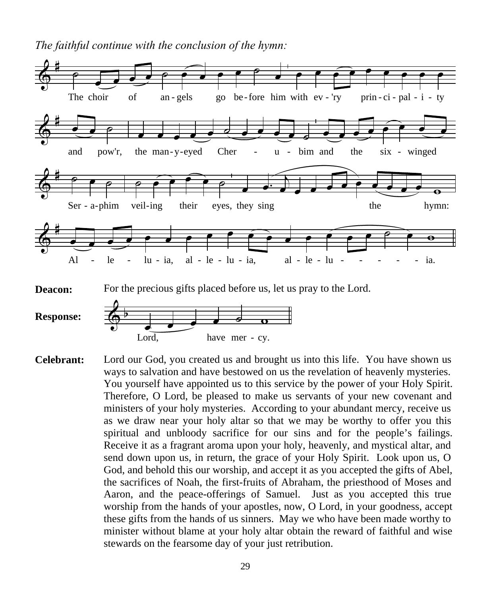*The faithful continue with the conclusion of the hymn:*



**Response:**

 $\bigcirc$  b  $\bullet$   $\bullet$   $\circ$   $\circ$ Lord, have mer - cy.

**Celebrant:** Lord our God, you created us and brought us into this life. You have shown us ways to salvation and have bestowed on us the revelation of heavenly mysteries. You yourself have appointed us to this service by the power of your Holy Spirit. Therefore, O Lord, be pleased to make us servants of your new covenant and ministers of your holy mysteries. According to your abundant mercy, receive us as we draw near your holy altar so that we may be worthy to offer you this spiritual and unbloody sacrifice for our sins and for the people's failings. Receive it as a fragrant aroma upon your holy, heavenly, and mystical altar, and send down upon us, in return, the grace of your Holy Spirit. Look upon us, O God, and behold this our worship, and accept it as you accepted the gifts of Abel, the sacrifices of Noah, the first-fruits of Abraham, the priesthood of Moses and Aaron, and the peace-offerings of Samuel. Just as you accepted this true worship from the hands of your apostles, now, O Lord, in your goodness, accept these gifts from the hands of us sinners. May we who have been made worthy to minister without blame at your holy altar obtain the reward of faithful and wise stewards on the fearsome day of your just retribution.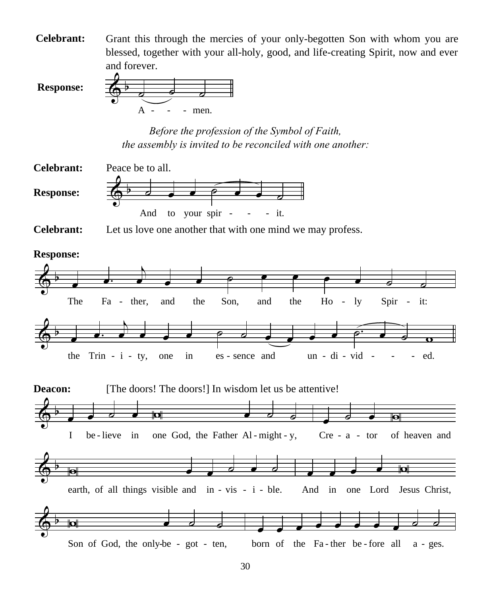**Celebrant:** Grant this through the mercies of your only-begotten Son with whom you are blessed, together with your all-holy, good, and life-creating Spirit, now and ever and forever.

**Response:**



*Before the profession of the Symbol of Faith, the assembly is invited to be reconciled with one another:*



**Celebrant:** Let us love one another that with one mind we may profess.

**Response:**

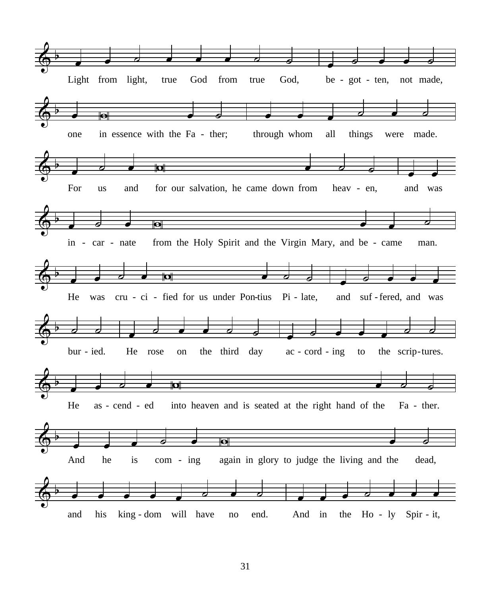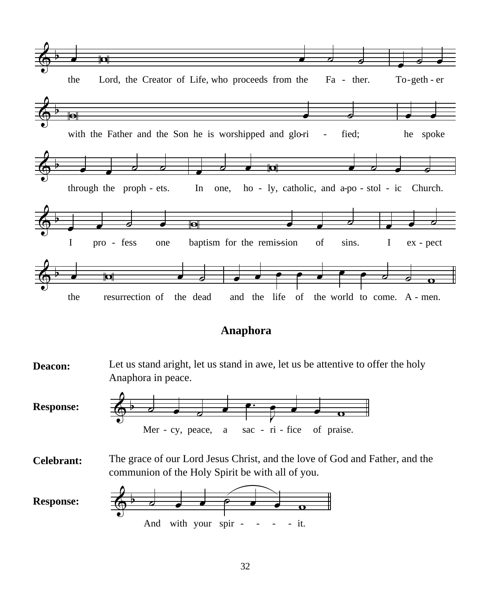

#### **Anaphora**



32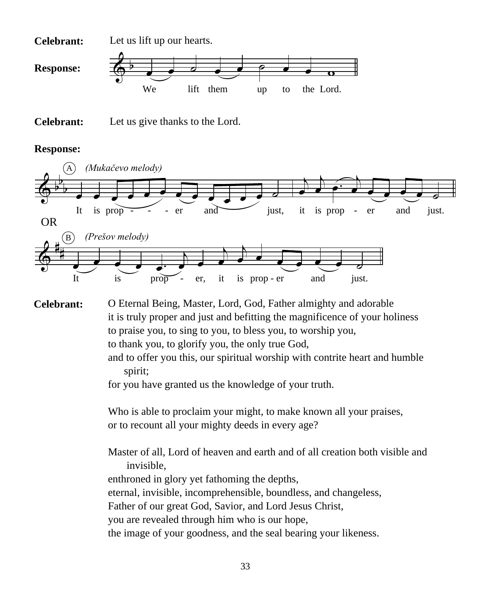



#### **Response:**



O Eternal Being, Master, Lord, God, Father almighty and adorable it is truly proper and just and befitting the magnificence of your holiness to praise you, to sing to you, to bless you, to worship you, to thank you, to glorify you, the only true God, **Celebrant:**

> and to offer you this, our spiritual worship with contrite heart and humble spirit;

for you have granted us the knowledge of your truth.

Who is able to proclaim your might, to make known all your praises, or to recount all your mighty deeds in every age?

Master of all, Lord of heaven and earth and of all creation both visible and invisible, enthroned in glory yet fathoming the depths, eternal, invisible, incomprehensible, boundless, and changeless, Father of our great God, Savior, and Lord Jesus Christ, you are revealed through him who is our hope, the image of your goodness, and the seal bearing your likeness.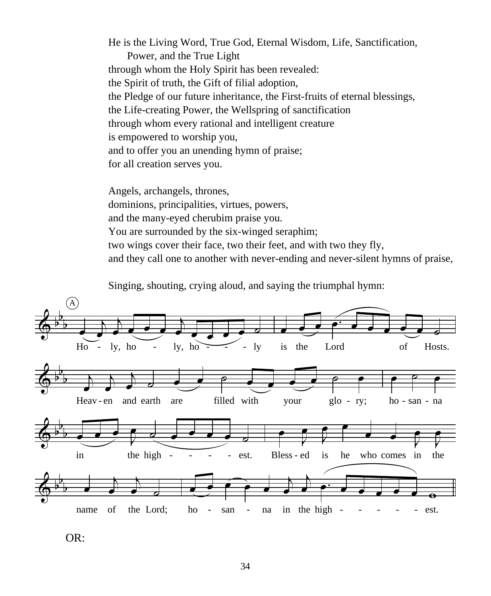He is the Living Word, True God, Eternal Wisdom, Life, Sanctification, Power, and the True Light through whom the Holy Spirit has been revealed: the Spirit of truth, the Gift of filial adoption, the Pledge of our future inheritance, the First-fruits of eternal blessings, the Life-creating Power, the Wellspring of sanctification through whom every rational and intelligent creature is empowered to worship you, and to offer you an unending hymn of praise; for all creation serves you.

Angels, archangels, thrones, dominions, principalities, virtues, powers, and the many-eyed cherubim praise you. You are surrounded by the six-winged seraphim; two wings cover their face, two their feet, and with two they fly, and they call one to another with never-ending and never-silent hymns of praise,

Singing, shouting, crying aloud, and saying the triumphal hymn:



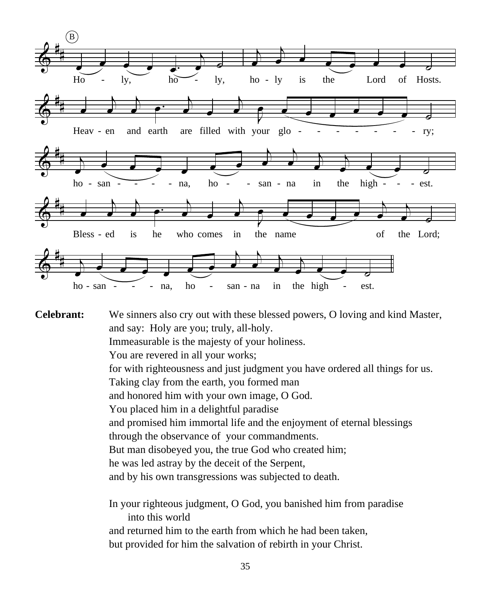

**Celebrant:** We sinners also cry out with these blessed powers, O loving and kind Master, and say: Holy are you; truly, all-holy.

Immeasurable is the majesty of your holiness.

You are revered in all your works;

for with righteousness and just judgment you have ordered all things for us.

Taking clay from the earth, you formed man

and honored him with your own image, O God.

You placed him in a delightful paradise

and promised him immortal life and the enjoyment of eternal blessings

through the observance of your commandments.

But man disobeyed you, the true God who created him;

he was led astray by the deceit of the Serpent,

and by his own transgressions was subjected to death.

In your righteous judgment, O God, you banished him from paradise into this world and returned him to the earth from which he had been taken, but provided for him the salvation of rebirth in your Christ.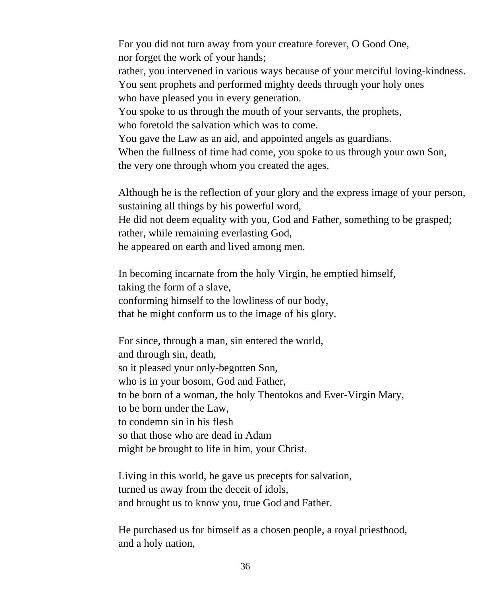For you did not turn away from your creature forever, O Good One, nor forget the work of your hands;

rather, you intervened in various ways because of your merciful loving-kindness. You sent prophets and performed mighty deeds through your holy ones

who have pleased you in every generation.

You spoke to us through the mouth of your servants, the prophets,

who foretold the salvation which was to come.

You gave the Law as an aid, and appointed angels as guardians.

When the fullness of time had come, you spoke to us through your own Son, the very one through whom you created the ages.

Although he is the reflection of your glory and the express image of your person, sustaining all things by his powerful word,

He did not deem equality with you, God and Father, something to be grasped; rather, while remaining everlasting God,

he appeared on earth and lived among men.

In becoming incarnate from the holy Virgin, he emptied himself, taking the form of a slave, conforming himself to the lowliness of our body, that he might conform us to the image of his glory.

For since, through a man, sin entered the world, and through sin, death, so it pleased your only-begotten Son, who is in your bosom, God and Father, to be born of a woman, the holy Theotokos and Ever-Virgin Mary, to be born under the Law, to condemn sin in his flesh so that those who are dead in Adam might be brought to life in him, your Christ.

Living in this world, he gave us precepts for salvation, turned us away from the deceit of idols, and brought us to know you, true God and Father.

He purchased us for himself as a chosen people, a royal priesthood, and a holy nation,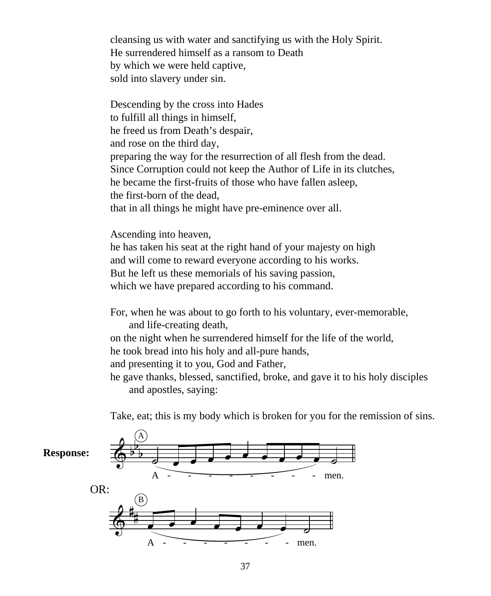cleansing us with water and sanctifying us with the Holy Spirit. He surrendered himself as a ransom to Death by which we were held captive, sold into slavery under sin.

Descending by the cross into Hades to fulfill all things in himself, he freed us from Death's despair, and rose on the third day, preparing the way for the resurrection of all flesh from the dead. Since Corruption could not keep the Author of Life in its clutches, he became the first-fruits of those who have fallen asleep, the first-born of the dead, that in all things he might have pre-eminence over all.

Ascending into heaven,

he has taken his seat at the right hand of your majesty on high and will come to reward everyone according to his works. But he left us these memorials of his saving passion, which we have prepared according to his command.

For, when he was about to go forth to his voluntary, ever-memorable, and life-creating death,

on the night when he surrendered himself for the life of the world, he took bread into his holy and all-pure hands,

and presenting it to you, God and Father,

he gave thanks, blessed, sanctified, broke, and gave it to his holy disciples and apostles, saying:

Take, eat; this is my body which is broken for you for the remission of sins.

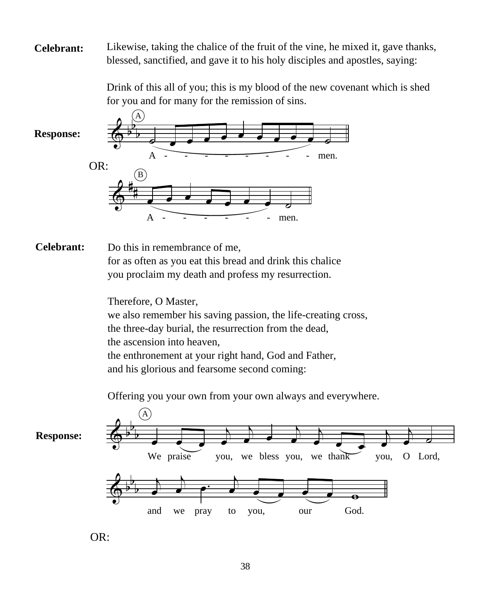**Celebrant:** Likewise, taking the chalice of the fruit of the vine, he mixed it, gave thanks, blessed, sanctified, and gave it to his holy disciples and apostles, saying:

> Drink of this all of you; this is my blood of the new covenant which is shed for you and for many for the remission of sins.

**Response:**



#### **Celebrant:**

Do this in remembrance of me,

for as often as you eat this bread and drink this chalice you proclaim my death and profess my resurrection.

Therefore, O Master, we also remember his saving passion, the life-creating cross, the three-day burial, the resurrection from the dead, the ascension into heaven, the enthronement at your right hand, God and Father, and his glorious and fearsome second coming:

Offering you your own from your own always and everywhere.



OR: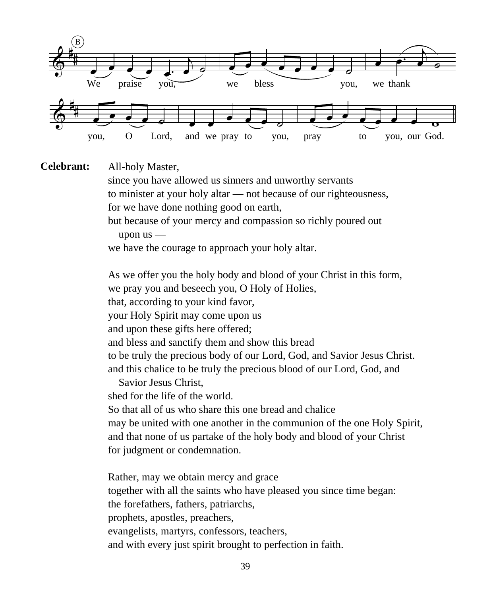

All-holy Master, **Celebrant:**

> since you have allowed us sinners and unworthy servants to minister at your holy altar — not because of our righteousness, for we have done nothing good on earth,

but because of your mercy and compassion so richly poured out upon us —

we have the courage to approach your holy altar.

As we offer you the holy body and blood of your Christ in this form, we pray you and beseech you, O Holy of Holies, that, according to your kind favor, your Holy Spirit may come upon us and upon these gifts here offered; and bless and sanctify them and show this bread to be truly the precious body of our Lord, God, and Savior Jesus Christ. and this chalice to be truly the precious blood of our Lord, God, and Savior Jesus Christ, shed for the life of the world.

So that all of us who share this one bread and chalice may be united with one another in the communion of the one Holy Spirit, and that none of us partake of the holy body and blood of your Christ for judgment or condemnation.

Rather, may we obtain mercy and grace together with all the saints who have pleased you since time began: the forefathers, fathers, patriarchs, prophets, apostles, preachers, evangelists, martyrs, confessors, teachers, and with every just spirit brought to perfection in faith.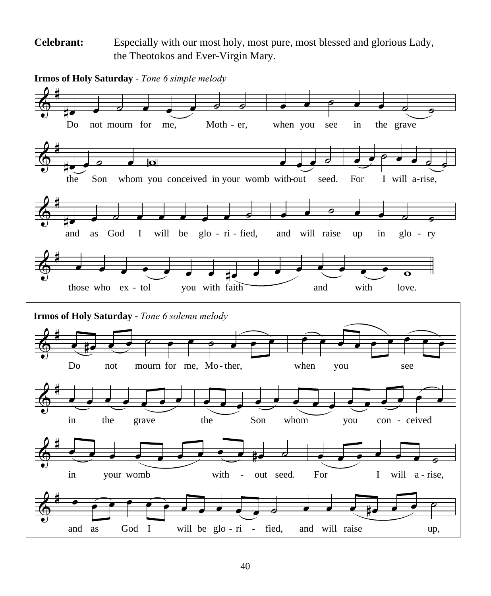Especially with our most holy, most pure, most blessed and glorious Lady, the Theotokos and Ever-Virgin Mary. **Celebrant:**

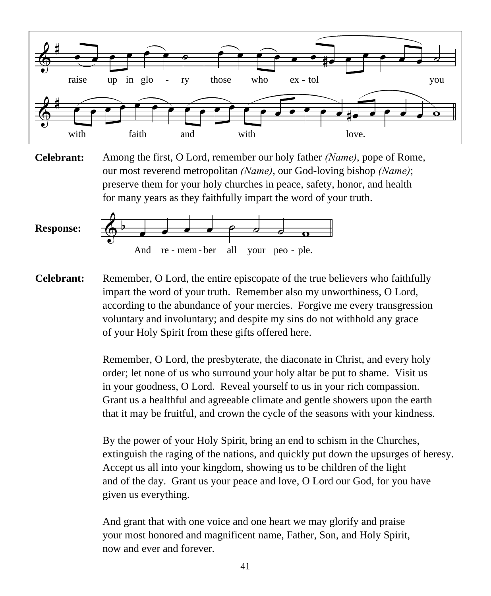

Among the first, O Lord, remember our holy father *(Name)*, pope of Rome, our most reverend metropolitan *(Name)*, our God-loving bishop *(Name)*; preserve them for your holy churches in peace, safety, honor, and health for many years as they faithfully impart the word of your truth. **Celebrant:**



Remember, O Lord, the entire episcopate of the true believers who faithfully impart the word of your truth. Remember also my unworthiness, O Lord, according to the abundance of your mercies. Forgive me every transgression voluntary and involuntary; and despite my sins do not withhold any grace of your Holy Spirit from these gifts offered here. **Celebrant:**

> Remember, O Lord, the presbyterate, the diaconate in Christ, and every holy order; let none of us who surround your holy altar be put to shame. Visit us in your goodness, O Lord. Reveal yourself to us in your rich compassion. Grant us a healthful and agreeable climate and gentle showers upon the earth that it may be fruitful, and crown the cycle of the seasons with your kindness.

By the power of your Holy Spirit, bring an end to schism in the Churches, extinguish the raging of the nations, and quickly put down the upsurges of heresy. Accept us all into your kingdom, showing us to be children of the light and of the day. Grant us your peace and love, O Lord our God, for you have given us everything.

And grant that with one voice and one heart we may glorify and praise your most honored and magnificent name, Father, Son, and Holy Spirit, now and ever and forever.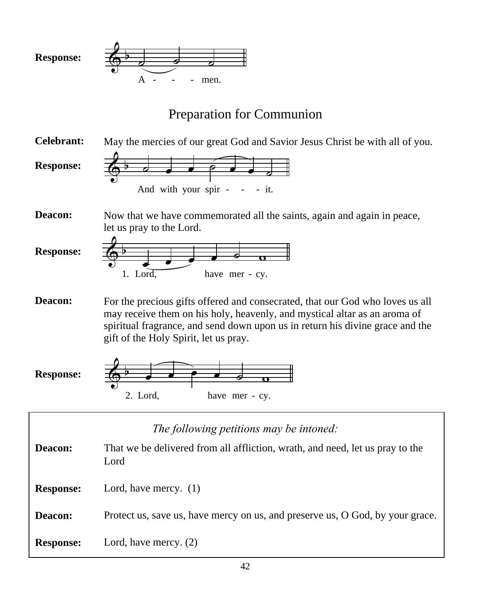

# Preparation for Communion

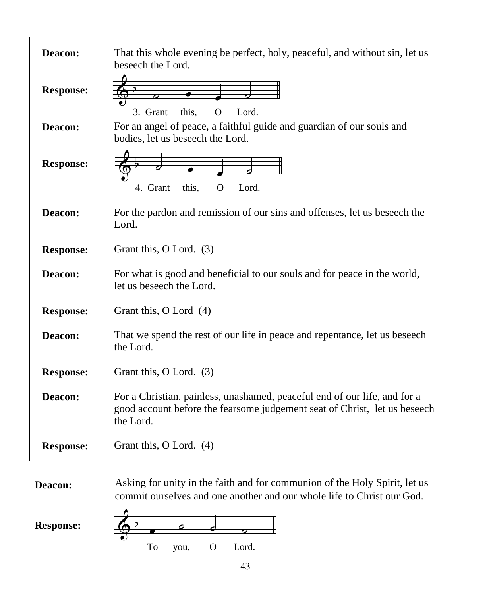| Deacon:          | That this whole evening be perfect, holy, peaceful, and without sin, let us<br>beseech the Lord.                                                                    |
|------------------|---------------------------------------------------------------------------------------------------------------------------------------------------------------------|
| <b>Response:</b> | 3. Grant<br>this,<br>$\Omega$<br>Lord.                                                                                                                              |
| Deacon:          | For an angel of peace, a faithful guide and guardian of our souls and<br>bodies, let us beseech the Lord.                                                           |
| <b>Response:</b> | 4. Grant<br>this.<br>Lord.<br>O                                                                                                                                     |
| Deacon:          | For the pardon and remission of our sins and offenses, let us beseech the<br>Lord.                                                                                  |
| <b>Response:</b> | Grant this, O Lord. (3)                                                                                                                                             |
| Deacon:          | For what is good and beneficial to our souls and for peace in the world,<br>let us beseech the Lord.                                                                |
| <b>Response:</b> | Grant this, O Lord (4)                                                                                                                                              |
| Deacon:          | That we spend the rest of our life in peace and repentance, let us beseech<br>the Lord.                                                                             |
| <b>Response:</b> | Grant this, O Lord. (3)                                                                                                                                             |
| Deacon:          | For a Christian, painless, unashamed, peaceful end of our life, and for a<br>good account before the fearsome judgement seat of Christ, let us beseech<br>the Lord. |
| <b>Response:</b> | Grant this, O Lord. (4)                                                                                                                                             |

**Deacon:** Asking for unity in the faith and for communion of the Holy Spirit, let us commit ourselves and one another and our whole life to Christ our God.

**Response:**

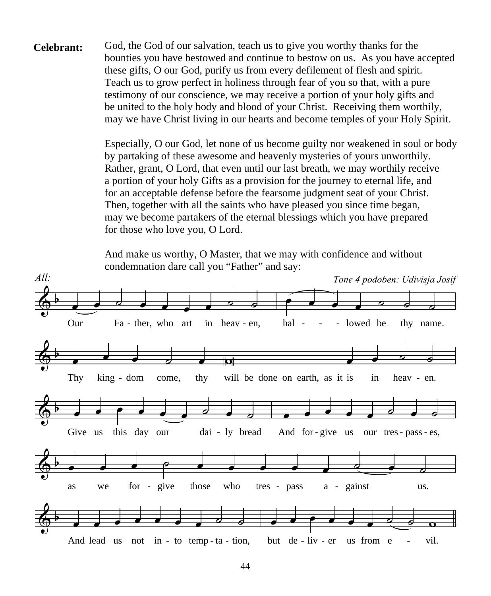**Celebrant:** God, the God of our salvation, teach us to give you worthy thanks for the bounties you have bestowed and continue to bestow on us. As you have accepted these gifts, O our God, purify us from every defilement of flesh and spirit. Teach us to grow perfect in holiness through fear of you so that, with a pure testimony of our conscience, we may receive a portion of your holy gifts and be united to the holy body and blood of your Christ. Receiving them worthily, may we have Christ living in our hearts and become temples of your Holy Spirit.

> Especially, O our God, let none of us become guilty nor weakened in soul or body by partaking of these awesome and heavenly mysteries of yours unworthily. Rather, grant, O Lord, that even until our last breath, we may worthily receive a portion of your holy Gifts as a provision for the journey to eternal life, and for an acceptable defense before the fearsome judgment seat of your Christ. Then, together with all the saints who have pleased you since time began, may we become partakers of the eternal blessings which you have prepared for those who love you, O Lord.

And make us worthy, O Master, that we may with confidence and without condemnation dare call you "Father" and say:

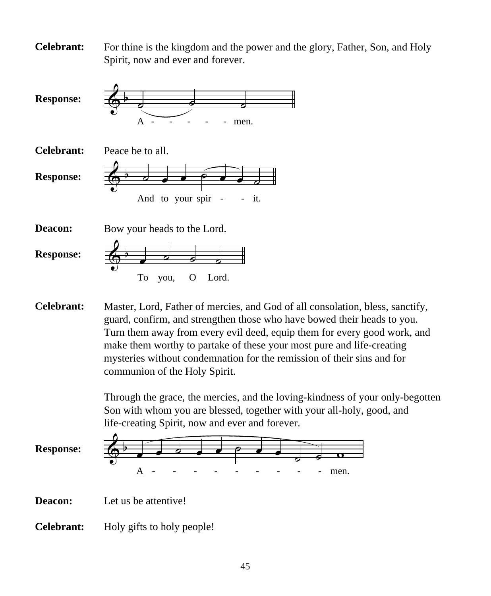**Celebrant:** For thine is the kingdom and the power and the glory, Father, Son, and Holy Spirit, now and ever and forever.



**Celebrant:** Master, Lord, Father of mercies, and God of all consolation, bless, sanctify, guard, confirm, and strengthen those who have bowed their heads to you. Turn them away from every evil deed, equip them for every good work, and make them worthy to partake of these your most pure and life-creating mysteries without condemnation for the remission of their sins and for communion of the Holy Spirit.

> Through the grace, the mercies, and the loving-kindness of your only-begotten Son with whom you are blessed, together with your all-holy, good, and life-creating Spirit, now and ever and forever.



**Deacon:** Let us be attentive!

**Celebrant:** Holy gifts to holy people!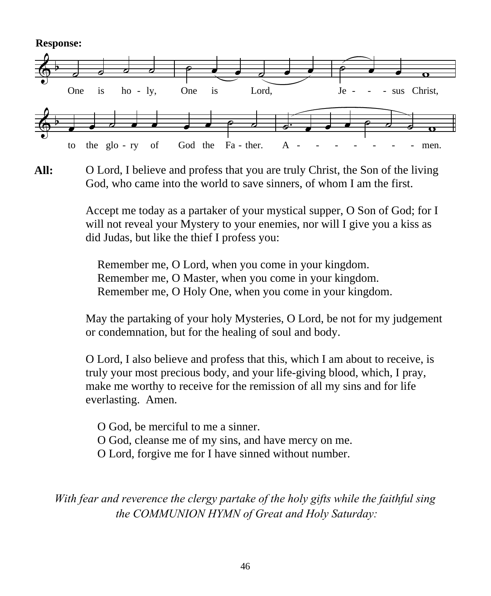**Response:**



**All:** O Lord, I believe and profess that you are truly Christ, the Son of the living God, who came into the world to save sinners, of whom I am the first.

> Accept me today as a partaker of your mystical supper, O Son of God; for I will not reveal your Mystery to your enemies, nor will I give you a kiss as did Judas, but like the thief I profess you:

 Remember me, O Lord, when you come in your kingdom. Remember me, O Master, when you come in your kingdom. Remember me, O Holy One, when you come in your kingdom.

May the partaking of your holy Mysteries, O Lord, be not for my judgement or condemnation, but for the healing of soul and body.

O Lord, I also believe and profess that this, which I am about to receive, is truly your most precious body, and your life-giving blood, which, I pray, make me worthy to receive for the remission of all my sins and for life everlasting. Amen.

 O God, be merciful to me a sinner. O God, cleanse me of my sins, and have mercy on me. O Lord, forgive me for I have sinned without number.

*With fear and reverence the clergy partake of the holy gifts while the faithful sing the COMMUNION HYMN of Great and Holy Saturday:*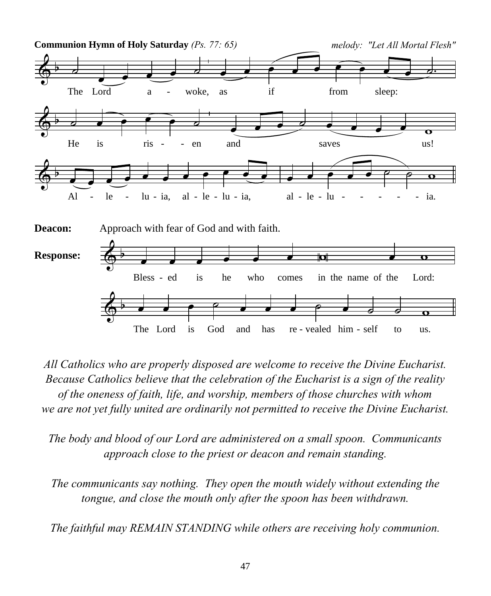

*All Catholics who are properly disposed are welcome to receive the Divine Eucharist. Because Catholics believe that the celebration of the Eucharist is a sign of the reality of the oneness of faith, life, and worship, members of those churches with whom we are not yet fully united are ordinarily not permitted to receive the Divine Eucharist.*

*The body and blood of our Lord are administered on a small spoon. Communicants approach close to the priest or deacon and remain standing.*

*The communicants say nothing. They open the mouth widely without extending the tongue, and close the mouth only after the spoon has been withdrawn.*

*The faithful may REMAIN STANDING while others are receiving holy communion.*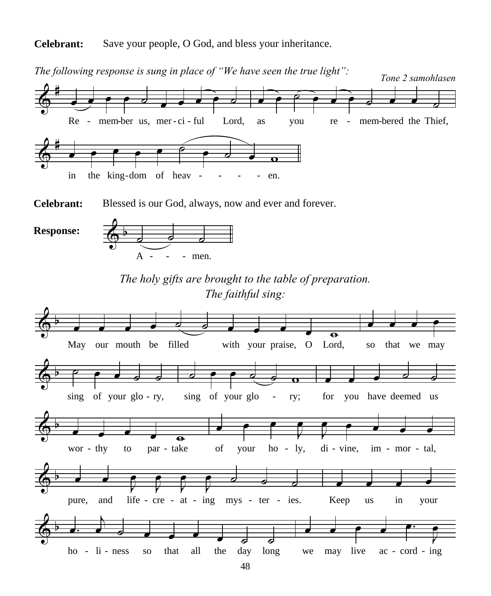**Celebrant:** Save your people, O God, and bless your inheritance.



*The following response is sung in place of "We have seen the true light":*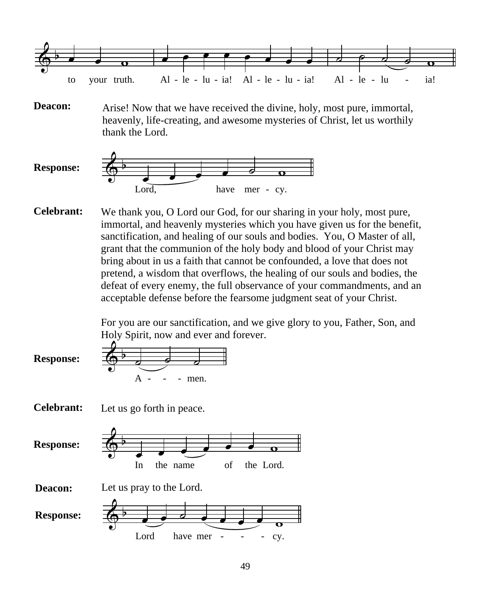

**Deacon:** Arise! Now that we have received the divine, holy, most pure, immortal, heavenly, life-creating, and awesome mysteries of Christ, let us worthily thank the Lord.



**Celebrant:** We thank you, O Lord our God, for our sharing in your holy, most pure, immortal, and heavenly mysteries which you have given us for the benefit, sanctification, and healing of our souls and bodies. You, O Master of all, grant that the communion of the holy body and blood of your Christ may bring about in us a faith that cannot be confounded, a love that does not pretend, a wisdom that overflows, the healing of our souls and bodies, the defeat of every enemy, the full observance of your commandments, and an acceptable defense before the fearsome judgment seat of your Christ.

> For you are our sanctification, and we give glory to you, Father, Son, and Holy Spirit, now and ever and forever.

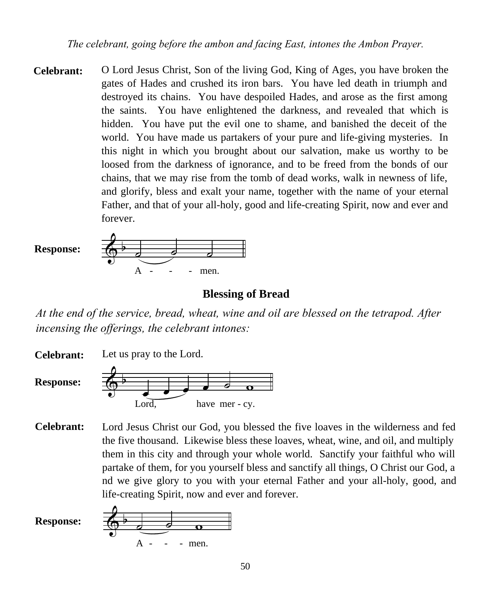*The celebrant, going before the ambon and facing East, intones the Ambon Prayer.*

**Celebrant:** O Lord Jesus Christ, Son of the living God, King of Ages, you have broken the gates of Hades and crushed its iron bars. You have led death in triumph and destroyed its chains. You have despoiled Hades, and arose as the first among the saints. You have enlightened the darkness, and revealed that which is hidden. You have put the evil one to shame, and banished the deceit of the world. You have made us partakers of your pure and life-giving mysteries. In this night in which you brought about our salvation, make us worthy to be loosed from the darkness of ignorance, and to be freed from the bonds of our chains, that we may rise from the tomb of dead works, walk in newness of life, and glorify, bless and exalt your name, together with the name of your eternal Father, and that of your all-holy, good and life-creating Spirit, now and ever and forever.



#### **Blessing of Bread**

*At the end of the service, bread, wheat, wine and oil are blessed on the tetrapod. After incensing the offerings, the celebrant intones:*

 $\overset{\leftrightarrow}{\bullet}$   $\overset{\bullet}{\bullet}$   $\overset{\bullet}{\bullet}$   $\overset{\bullet}{\bullet}$   $\overset{\bullet}{\bullet}$ Lord. have mer - cy. **Celebrant: Response:** Let us pray to the Lord.

Lord Jesus Christ our God, you blessed the five loaves in the wilderness and fed the five thousand. Likewise bless these loaves, wheat, wine, and oil, and multiply them in this city and through your whole world. Sanctify your faithful who will partake of them, for you yourself bless and sanctify all things, O Christ our God, a nd we give glory to you with your eternal Father and your all-holy, good, and life-creating Spirit, now and ever and forever. **Celebrant:**

**Response:**

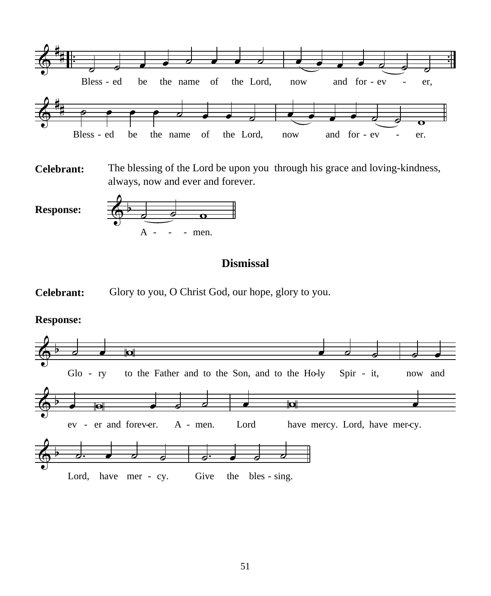

**Celebrant:** The blessing of the Lord be upon you through his grace and loving-kindness, always, now and ever and forever.

**Response:**



### **Dismissal**



#### **Response:**

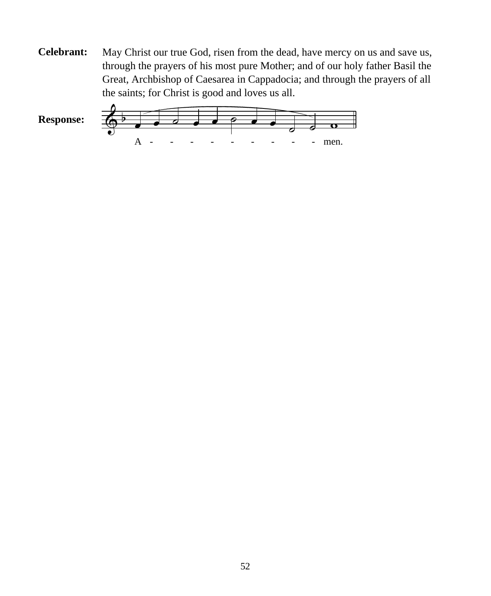**Celebrant:** May Christ our true God, risen from the dead, have mercy on us and save us, through the prayers of his most pure Mother; and of our holy father Basil the Great, Archbishop of Caesarea in Cappadocia; and through the prayers of all the saints; for Christ is good and loves us all.

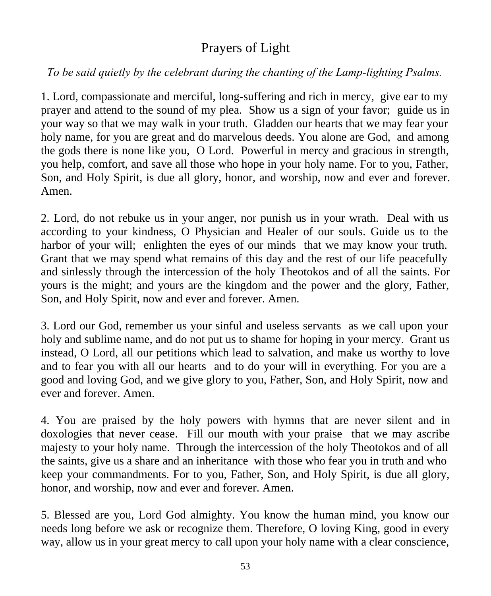# Prayers of Light

### *To be said quietly by the celebrant during the chanting of the Lamp-lighting Psalms.*

1. Lord, compassionate and merciful, long-suffering and rich in mercy, give ear to my prayer and attend to the sound of my plea. Show us a sign of your favor; guide us in your way so that we may walk in your truth. Gladden our hearts that we may fear your holy name, for you are great and do marvelous deeds. You alone are God, and among the gods there is none like you, O Lord. Powerful in mercy and gracious in strength, you help, comfort, and save all those who hope in your holy name. For to you, Father, Son, and Holy Spirit, is due all glory, honor, and worship, now and ever and forever. Amen.

2. Lord, do not rebuke us in your anger, nor punish us in your wrath. Deal with us according to your kindness, O Physician and Healer of our souls. Guide us to the harbor of your will; enlighten the eyes of our minds that we may know your truth. Grant that we may spend what remains of this day and the rest of our life peacefully and sinlessly through the intercession of the holy Theotokos and of all the saints. For yours is the might; and yours are the kingdom and the power and the glory, Father, Son, and Holy Spirit, now and ever and forever. Amen.

3. Lord our God, remember us your sinful and useless servants as we call upon your holy and sublime name, and do not put us to shame for hoping in your mercy. Grant us instead, O Lord, all our petitions which lead to salvation, and make us worthy to love and to fear you with all our hearts and to do your will in everything. For you are a good and loving God, and we give glory to you, Father, Son, and Holy Spirit, now and ever and forever. Amen.

4. You are praised by the holy powers with hymns that are never silent and in doxologies that never cease. Fill our mouth with your praise that we may ascribe majesty to your holy name. Through the intercession of the holy Theotokos and of all the saints, give us a share and an inheritance with those who fear you in truth and who keep your commandments. For to you, Father, Son, and Holy Spirit, is due all glory, honor, and worship, now and ever and forever. Amen.

5. Blessed are you, Lord God almighty. You know the human mind, you know our needs long before we ask or recognize them. Therefore, O loving King, good in every way, allow us in your great mercy to call upon your holy name with a clear conscience,